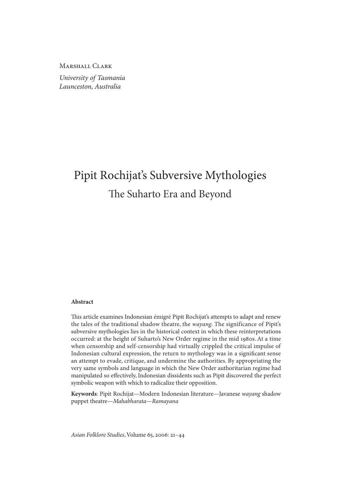Marshall Clark *University of Tasmania Launceston, Australia*

# Pipit Rochijat's Subversive Mythologies The Suharto Era and Beyond

#### **Abstract**

This article examines Indonesian émigré Pipit Rochijat's attempts to adapt and renew the tales of the traditional shadow theatre, the *wayang*. The significance of Pipit's subversive mythologies lies in the historical context in which these reinterpretations occurred: at the height of Suharto's New Order regime in the mid 1980s. At a time when censorship and self-censorship had virtually crippled the critical impulse of Indonesian cultural expression, the return to mythology was in a significant sense an attempt to evade, critique, and undermine the authorities. By appropriating the very same symbols and language in which the New Order authoritarian regime had manipulated so effectively, Indonesian dissidents such as Pipit discovered the perfect symbolic weapon with which to radicalize their opposition.

**Keywords**: Pipit Rochijat—Modern Indonesian literature—Javanese *wayang* shadow puppet theatre—*Mahabharata*—*Ramayana*

*Asian Folklore Studies*, Volume 65, 2006: 21–44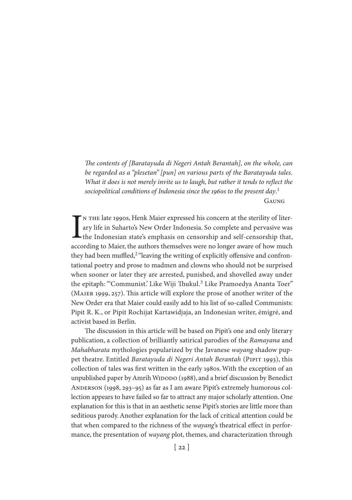*The contents of [Baratayuda di Negeri Antah Berantah], on the whole, can be regarded as a "plesetan" [pun] on various parts of the Baratayuda tales. What it does is not merely invite us to laugh, but rather it tends to reflect the sociopolitical conditions of Indonesia since the 1960s to the present day*. 1 Gaung

IN THE late 1990s, Henk Maier expressed his concern at the sterility of literary life in Suharto's New Order Indonesia. So complete and pervasive was the Indonesian state's emphasis on censorship and self-censorship that, n the late 1990s, Henk Maier expressed his concern at the sterility of literary life in Suharto's New Order Indonesia. So complete and pervasive was  $\blacktriangle$  the Indonesian state's emphasis on censorship and self-censorship that, they had been muffled,<sup>2</sup> "leaving the writing of explicitly offensive and confrontational poetry and prose to madmen and clowns who should not be surprised when sooner or later they are arrested, punished, and shovelled away under the epitaph: "Communist.' Like Wiji Thukul.<sup>3</sup> Like Pramoedya Ananta Toer" (Maier 1999, 257). This article will explore the prose of another writer of the New Order era that Maier could easily add to his list of so-called Communists: Pipit R. K., or Pipit Rochijat Kartawidjaja, an Indonesian writer, émigré, and activist based in Berlin.

The discussion in this article will be based on Pipit's one and only literary publication, a collection of brilliantly satirical parodies of the *Ramayana* and *Mahabharata* mythologies popularized by the Javanese *wayang* shadow puppet theatre. Entitled *Baratayuda di Negeri Antah Berantah* (Pipit 1993), this collection of tales was first written in the early 1980s. With the exception of an unpublished paper by Amrih WIDODO (1988), and a brief discussion by Benedict Anderson (1998, 293–95) as far as I am aware Pipit's extremely humorous collection appears to have failed so far to attract any major scholarly attention. One explanation for this is that in an aesthetic sense Pipit's stories are little more than seditious parody. Another explanation for the lack of critical attention could be that when compared to the richness of the *wayang*'s theatrical effect in performance, the presentation of *wayang* plot, themes, and characterization through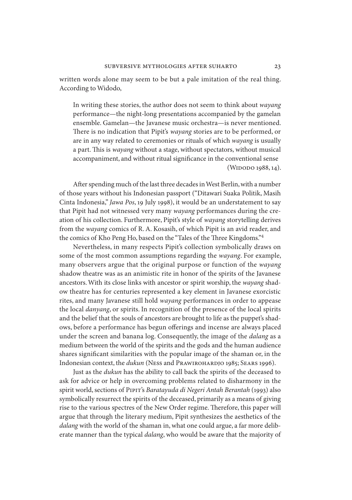written words alone may seem to be but a pale imitation of the real thing. According to Widodo,

In writing these stories, the author does not seem to think about *wayang* performance—the night-long presentations accompanied by the gamelan ensemble. Gamelan—the Javanese music orchestra—is never mentioned. There is no indication that Pipit's *wayang* stories are to be performed, or are in any way related to ceremonies or rituals of which *wayang* is usually a part. This is *wayang* without a stage, without spectators, without musical accompaniment, and without ritual significance in the conventional sense (WIDODO 1988, 14).

After spending much of the last three decades in West Berlin, with a number of those years without his Indonesian passport ("Ditawari Suaka Politik, Masih Cinta Indonesia," *Jawa Pos*, 19 July 1998), it would be an understatement to say that Pipit had not witnessed very many *wayang* performances during the creation of his collection. Furthermore, Pipit's style of *wayang* storytelling derives from the *wayang* comics of R. A. Kosasih, of which Pipit is an avid reader, and the comics of Kho Peng Ho, based on the "Tales of the Three Kingdoms."4

Nevertheless, in many respects Pipit's collection symbolically draws on some of the most common assumptions regarding the *wayang*. For example, many observers argue that the original purpose or function of the *wayang* shadow theatre was as an animistic rite in honor of the spirits of the Javanese ancestors. With its close links with ancestor or spirit worship, the *wayang* shadow theatre has for centuries represented a key element in Javanese exorcistic rites, and many Javanese still hold *wayang* performances in order to appease the local *danyang*, or spirits. In recognition of the presence of the local spirits and the belief that the souls of ancestors are brought to life as the puppet's shadows, before a performance has begun offerings and incense are always placed under the screen and banana log. Consequently, the image of the *dalang* as a medium between the world of the spirits and the gods and the human audience shares significant similarities with the popular image of the shaman or, in the Indonesian context, the *dukun* (Ness and PRAWIROHARDJO 1985; SEARS 1996).

Just as the *dukun* has the ability to call back the spirits of the deceased to ask for advice or help in overcoming problems related to disharmony in the spirit world, sections of Pipit's *Baratayuda di Negeri Antah Berantah* (1993) also symbolically resurrect the spirits of the deceased, primarily as a means of giving rise to the various spectres of the New Order regime. Therefore, this paper will argue that through the literary medium, Pipit synthesizes the aesthetics of the *dalang* with the world of the shaman in, what one could argue, a far more deliberate manner than the typical *dalang*, who would be aware that the majority of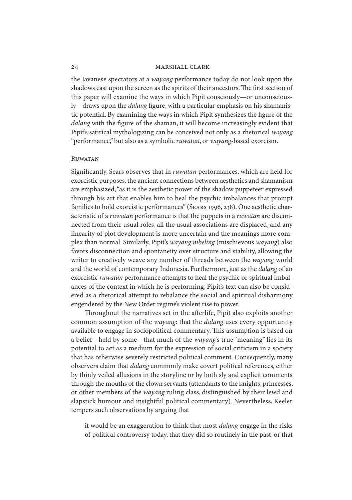the Javanese spectators at a *wayang* performance today do not look upon the shadows cast upon the screen as the spirits of their ancestors. The first section of this paper will examine the ways in which Pipit consciously—or unconsciously—draws upon the *dalang* figure, with a particular emphasis on his shamanistic potential. By examining the ways in which Pipit synthesizes the figure of the *dalang* with the figure of the shaman, it will become increasingly evident that Pipit's satirical mythologizing can be conceived not only as a rhetorical *wayang* "performance," but also as a symbolic *ruwatan*, or *wayang*-based exorcism.

# **RUWATAN**

Significantly, Sears observes that in *ruwatan* performances, which are held for exorcistic purposes, the ancient connections between aesthetics and shamanism are emphasized, "as it is the aesthetic power of the shadow puppeteer expressed through his art that enables him to heal the psychic imbalances that prompt families to hold exorcistic performances" (Sears 1996, 238). One aesthetic characteristic of a *ruwatan* performance is that the puppets in a *ruwatan* are disconnected from their usual roles, all the usual associations are displaced, and any linearity of plot development is more uncertain and the meanings more complex than normal. Similarly, Pipit's *wayang mbeling* (mischievous *wayang*) also favors disconnection and spontaneity over structure and stability, allowing the writer to creatively weave any number of threads between the *wayang* world and the world of contemporary Indonesia. Furthermore, just as the *dalang* of an exorcistic *ruwatan* performance attempts to heal the psychic or spiritual imbalances of the context in which he is performing, Pipit's text can also be considered as a rhetorical attempt to rebalance the social and spiritual disharmony engendered by the New Order regime's violent rise to power.

Throughout the narratives set in the afterlife, Pipit also exploits another common assumption of the *wayang*: that the *dalang* uses every opportunity available to engage in sociopolitical commentary. This assumption is based on a belief—held by some—that much of the *wayang*'s true "meaning" lies in its potential to act as a medium for the expression of social criticism in a society that has otherwise severely restricted political comment. Consequently, many observers claim that *dalang* commonly make covert political references, either by thinly veiled allusions in the storyline or by both sly and explicit comments through the mouths of the clown servants (attendants to the knights, princesses, or other members of the *wayang* ruling class, distinguished by their lewd and slapstick humour and insightful political commentary). Nevertheless, Keeler tempers such observations by arguing that

it would be an exaggeration to think that most *dalang* engage in the risks of political controversy today, that they did so routinely in the past, or that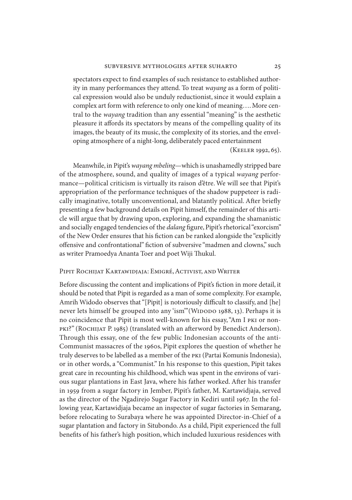spectators expect to find examples of such resistance to established authority in many performances they attend. To treat *wayang* as a form of political expression would also be unduly reductionist, since it would explain a complex art form with reference to only one kind of meaning…. More central to the *wayang* tradition than any essential "meaning" is the aesthetic pleasure it affords its spectators by means of the compelling quality of its images, the beauty of its music, the complexity of its stories, and the enveloping atmosphere of a night-long, deliberately paced entertainment

(Keeler 1992, 65).

Meanwhile, in Pipit's *wayang mbeling*—which is unashamedly stripped bare of the atmosphere, sound, and quality of images of a typical *wayang* performance—political criticism is virtually its raison d'être. We will see that Pipit's appropriation of the performance techniques of the shadow puppeteer is radically imaginative, totally unconventional, and blatantly political. After briefly presenting a few background details on Pipit himself, the remainder of this article will argue that by drawing upon, exploring, and expanding the shamanistic and socially engaged tendencies of the *dalang* figure, Pipit's rhetorical "exorcism" of the New Order ensures that his fiction can be ranked alongside the "explicitly offensive and confrontational" fiction of subversive "madmen and clowns," such as writer Pramoedya Ananta Toer and poet Wiji Thukul.

# Pipit Rochijat Kartawidjaja: Emigré, Activist, and Writer

Before discussing the content and implications of Pipit's fiction in more detail, it should be noted that Pipit is regarded as a man of some complexity. For example, Amrih Widodo observes that "[Pipit] is notoriously difficult to classify, and [he] never lets himself be grouped into any 'ism" (WIDODO 1988, 13). Perhaps it is no coincidence that Pipit is most well-known for his essay, "Am I pki or non-PKI?" (ROCHIJAT P. 1985) (translated with an afterword by Benedict Anderson). Through this essay, one of the few public Indonesian accounts of the anti-Communist massacres of the 1960s, Pipit explores the question of whether he truly deserves to be labelled as a member of the pki (Partai Komunis Indonesia), or in other words, a "Communist." In his response to this question, Pipit takes great care in recounting his childhood, which was spent in the environs of various sugar plantations in East Java, where his father worked. After his transfer in 1959 from a sugar factory in Jember, Pipit's father, M. Kartawidjaja, served as the director of the Ngadirejo Sugar Factory in Kediri until 1967. In the following year, Kartawidjaja became an inspector of sugar factories in Semarang, before relocating to Surabaya where he was appointed Director-in-Chief of a sugar plantation and factory in Situbondo. As a child, Pipit experienced the full benefits of his father's high position, which included luxurious residences with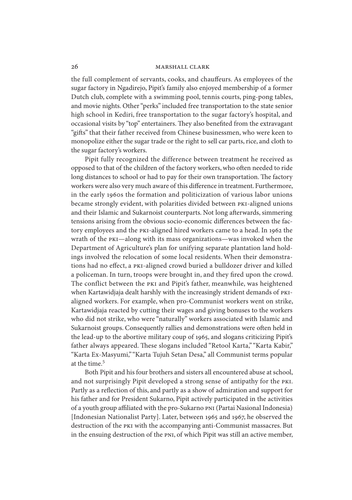the full complement of servants, cooks, and chauffeurs. As employees of the sugar factory in Ngadirejo, Pipit's family also enjoyed membership of a former Dutch club, complete with a swimming pool, tennis courts, ping-pong tables, and movie nights. Other "perks" included free transportation to the state senior high school in Kediri, free transportation to the sugar factory's hospital, and occasional visits by "top" entertainers. They also benefited from the extravagant "gifts" that their father received from Chinese businessmen, who were keen to monopolize either the sugar trade or the right to sell car parts, rice, and cloth to the sugar factory's workers.

Pipit fully recognized the difference between treatment he received as opposed to that of the children of the factory workers, who often needed to ride long distances to school or had to pay for their own transportation. The factory workers were also very much aware of this difference in treatment. Furthermore, in the early 1960s the formation and politicization of various labor unions became strongly evident, with polarities divided between PKI-aligned unions and their Islamic and Sukarnoist counterparts. Not long afterwards, simmering tensions arising from the obvious socio-economic differences between the factory employees and the pki-aligned hired workers came to a head. In 1962 the wrath of the pki—along with its mass organizations—was invoked when the Department of Agriculture's plan for unifying separate plantation land holdings involved the relocation of some local residents. When their demonstrations had no effect, a pki-aligned crowd buried a bulldozer driver and killed a policeman. In turn, troops were brought in, and they fired upon the crowd. The conflict between the pki and Pipit's father, meanwhile, was heightened when Kartawidjaja dealt harshly with the increasingly strident demands of pkialigned workers. For example, when pro-Communist workers went on strike, Kartawidjaja reacted by cutting their wages and giving bonuses to the workers who did not strike, who were "naturally" workers associated with Islamic and Sukarnoist groups. Consequently rallies and demonstrations were often held in the lead-up to the abortive military coup of 1965, and slogans criticizing Pipit's father always appeared. These slogans included "Retool Karta," "Karta Kabir," "Karta Ex-Masyumi," "Karta Tujuh Setan Desa," all Communist terms popular at the time.<sup>5</sup>

Both Pipit and his four brothers and sisters all encountered abuse at school, and not surprisingly Pipit developed a strong sense of antipathy for the pki. Partly as a reflection of this, and partly as a show of admiration and support for his father and for President Sukarno, Pipit actively participated in the activities of a youth group affiliated with the pro-Sukarno pni (Partai Nasional Indonesia) [Indonesian Nationalist Party]. Later, between 1965 and 1967, he observed the destruction of the pki with the accompanying anti-Communist massacres. But in the ensuing destruction of the PNI, of which Pipit was still an active member,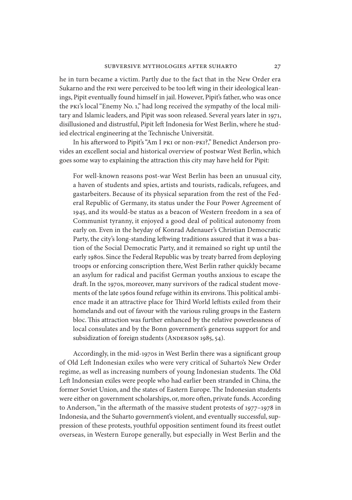he in turn became a victim. Partly due to the fact that in the New Order era Sukarno and the PNI were perceived to be too left wing in their ideological leanings, Pipit eventually found himself in jail. However, Pipit's father, who was once the pki's local "Enemy No. 1," had long received the sympathy of the local military and Islamic leaders, and Pipit was soon released. Several years later in 1971, disillusioned and distrustful, Pipit left Indonesia for West Berlin, where he studied electrical engineering at the Technische Universität.

In his afterword to Pipit's "Am I pki or non-pki?," Benedict Anderson provides an excellent social and historical overview of postwar West Berlin, which goes some way to explaining the attraction this city may have held for Pipit:

For well-known reasons post-war West Berlin has been an unusual city, a haven of students and spies, artists and tourists, radicals, refugees, and gastarbeiters. Because of its physical separation from the rest of the Federal Republic of Germany, its status under the Four Power Agreement of 1945, and its would-be status as a beacon of Western freedom in a sea of Communist tyranny, it enjoyed a good deal of political autonomy from early on. Even in the heyday of Konrad Adenauer's Christian Democratic Party, the city's long-standing leftwing traditions assured that it was a bastion of the Social Democratic Party, and it remained so right up until the early 1980s. Since the Federal Republic was by treaty barred from deploying troops or enforcing conscription there, West Berlin rather quickly became an asylum for radical and pacifist German youths anxious to escape the draft. In the 1970s, moreover, many survivors of the radical student movements of the late 1960s found refuge within its environs. This political ambience made it an attractive place for Third World leftists exiled from their homelands and out of favour with the various ruling groups in the Eastern bloc. This attraction was further enhanced by the relative powerlessness of local consulates and by the Bonn government's generous support for and subsidization of foreign students (ANDERSON 1985, 54).

Accordingly, in the mid-1970s in West Berlin there was a significant group of Old Left Indonesian exiles who were very critical of Suharto's New Order regime, as well as increasing numbers of young Indonesian students. The Old Left Indonesian exiles were people who had earlier been stranded in China, the former Soviet Union, and the states of Eastern Europe. The Indonesian students were either on government scholarships, or, more often, private funds. According to Anderson, "in the aftermath of the massive student protests of 1977–1978 in Indonesia, and the Suharto government's violent, and eventually successful, suppression of these protests, youthful opposition sentiment found its freest outlet overseas, in Western Europe generally, but especially in West Berlin and the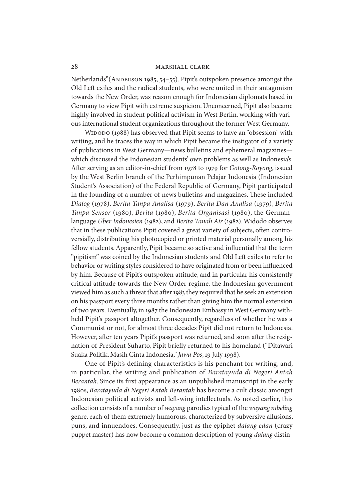Netherlands"(ANDERSON 1985, 54–55). Pipit's outspoken presence amongst the Old Left exiles and the radical students, who were united in their antagonism towards the New Order, was reason enough for Indonesian diplomats based in Germany to view Pipit with extreme suspicion. Unconcerned, Pipit also became highly involved in student political activism in West Berlin, working with various international student organizations throughout the former West Germany.

WIDODO (1988) has observed that Pipit seems to have an "obsession" with writing, and he traces the way in which Pipit became the instigator of a variety of publications in West Germany—news bulletins and ephemeral magazines which discussed the Indonesian students' own problems as well as Indonesia's. After serving as an editor-in-chief from 1978 to 1979 for *Gotong-Royong*, issued by the West Berlin branch of the Perhimpunan Pelajar Indonesia (Indonesian Student's Association) of the Federal Republic of Germany, Pipit participated in the founding of a number of news bulletins and magazines. These included *Dialog* (1978), *Berita Tanpa Analisa* (1979), *Berita Dan Analisa* (1979), *Berita Tanpa Sensor* (1980), *Berita* (1980), *Berita Organisasi* (1980), the Germanlanguage *Über Indonesien* (1982), and *Berita Tanah Air* (1982). Widodo observes that in these publications Pipit covered a great variety of subjects, often controversially, distributing his photocopied or printed material personally among his fellow students. Apparently, Pipit became so active and influential that the term "pipitism" was coined by the Indonesian students and Old Left exiles to refer to behavior or writing styles considered to have originated from or been influenced by him. Because of Pipit's outspoken attitude, and in particular his consistently critical attitude towards the New Order regime, the Indonesian government viewed him as such a threat that after 1983 they required that he seek an extension on his passport every three months rather than giving him the normal extension of two years. Eventually, in 1987 the Indonesian Embassy in West Germany withheld Pipit's passport altogether. Consequently, regardless of whether he was a Communist or not, for almost three decades Pipit did not return to Indonesia. However, after ten years Pipit's passport was returned, and soon after the resignation of President Suharto, Pipit briefly returned to his homeland ("Ditawari Suaka Politik, Masih Cinta Indonesia," *Jawa Pos*, 19 July 1998).

One of Pipit's defining characteristics is his penchant for writing, and, in particular, the writing and publication of *Baratayuda di Negeri Antah Berantah*. Since its first appearance as an unpublished manuscript in the early 1980s, *Baratayuda di Negeri Antah Berantah* has become a cult classic amongst Indonesian political activists and left-wing intellectuals. As noted earlier, this collection consists of a number of *wayang* parodies typical of the *wayang mbeling* genre, each of them extremely humorous, characterized by subversive allusions, puns, and innuendoes. Consequently, just as the epiphet *dalang edan* (crazy puppet master) has now become a common description of young *dalang* distin-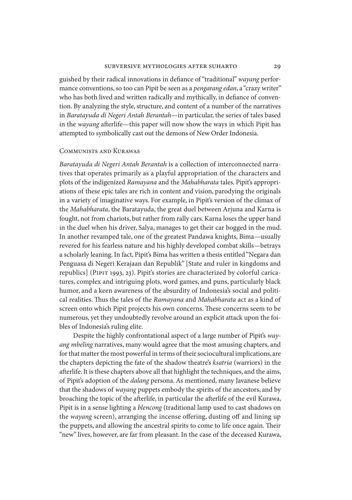guished by their radical innovations in defiance of "traditional" *wayang* performance conventions, so too can Pipit be seen as a *pengarang edan*, a "crazy writer" who has both lived and written radically and mythically, in defiance of convention. By analyzing the style, structure, and content of a number of the narratives in *Baratayuda di Negeri Antah Berantah*—in particular, the series of tales based in the *wayang* afterlife—this paper will now show the ways in which Pipit has attempted to symbolically cast out the demons of New Order Indonesia.

# Communists and Kurawas

*Baratayuda di Negeri Antah Berantah* is a collection of interconnected narratives that operates primarily as a playful appropriation of the characters and plots of the indigenized *Ramayana* and the *Mahabharata* tales. Pipit's appropriations of these epic tales are rich in content and vision, parodying the originals in a variety of imaginative ways. For example, in Pipit's version of the climax of the *Mahabharata*, the Baratayuda, the great duel between Arjuna and Karna is fought, not from chariots, but rather from rally cars. Karna loses the upper hand in the duel when his driver, Salya, manages to get their car bogged in the mud. In another revamped tale, one of the greatest Pandawa knights, Bima—usually revered for his fearless nature and his highly developed combat skills—betrays a scholarly leaning. In fact, Pipit's Bima has written a thesis entitled "Negara dan Penguasa di Negeri Kerajaan dan Republik" [State and ruler in kingdoms and republics] (PIPIT 1993, 23). Pipit's stories are characterized by colorful caricatures, complex and intriguing plots, word games, and puns, particularly black humor, and a keen awareness of the absurdity of Indonesia's social and political realities. Thus the tales of the *Ramayana* and *Mahabharata* act as a kind of screen onto which Pipit projects his own concerns. These concerns seem to be numerous, yet they undoubtedly revolve around an explicit attack upon the foibles of Indonesia's ruling elite.

Despite the highly confrontational aspect of a large number of Pipit's *wayang mbeling* narratives, many would agree that the most amusing chapters, and for that matter the most powerful in terms of their sociocultural implications, are the chapters depicting the fate of the shadow theatre's *ksatria* (warriors) in the afterlife. It is these chapters above all that highlight the techniques, and the aims, of Pipit's adoption of the *dalang* persona. As mentioned, many Javanese believe that the shadows of *wayang* puppets embody the spirits of the ancestors, and by broaching the topic of the afterlife, in particular the afterlife of the evil Kurawa, Pipit is in a sense lighting a *blencong* (traditional lamp used to cast shadows on the *wayang* screen), arranging the incense offering, dusting off and lining up the puppets, and allowing the ancestral spirits to come to life once again. Their "new" lives, however, are far from pleasant. In the case of the deceased Kurawa,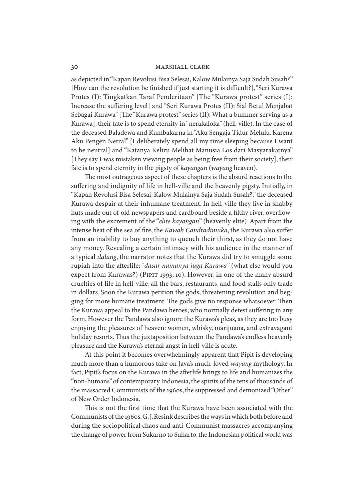# 30 marshall clark

as depicted in "Kapan Revolusi Bisa Selesai, Kalow Mulainya Saja Sudah Susah?" [How can the revolution be finished if just starting it is difficult?], "Seri Kurawa Protes (I): Tingkatkan Taraf Penderitaan" [The "Kurawa protest" series (I): Increase the suffering level] and "Seri Kurawa Protes (II): Sial Betul Menjabat Sebagai Kurawa" [The "Kurawa protest" series (II): What a bummer serving as a Kurawa], their fate is to spend eternity in "nerakaloka" (hell-ville). In the case of the deceased Baladewa and Kumbakarna in "Aku Sengaja Tidur Melulu, Karena Aku Pengen Netral" [I deliberately spend all my time sleeping because I want to be neutral] and "Katanya Keliru Melihat Manusia Los dari Masyarakatnya" [They say I was mistaken viewing people as being free from their society], their fate is to spend eternity in the pigsty of *kayangan* (*wayang* heaven).

The most outrageous aspect of these chapters is the absurd reactions to the suffering and indignity of life in hell-ville and the heavenly pigsty. Initially, in "Kapan Revolusi Bisa Selesai, Kalow Mulainya Saja Sudah Susah?," the deceased Kurawa despair at their inhumane treatment. In hell-ville they live in shabby huts made out of old newspapers and cardboard beside a filthy river, overflowing with the excrement of the "*elite kayangan*" (heavenly elite). Apart from the intense heat of the sea of fire, the *Kawah Candradimuka*, the Kurawa also suffer from an inability to buy anything to quench their thirst, as they do not have any money. Revealing a certain intimacy with his audience in the manner of a typical *dalang*, the narrator notes that the Kurawa did try to smuggle some rupiah into the afterlife: "*dasar namanya juga Kurawa*" (what else would you expect from Kurawas?) (PIPIT 1993, 10). However, in one of the many absurd cruelties of life in hell-ville, all the bars, restaurants, and food stalls only trade in dollars. Soon the Kurawa petition the gods, threatening revolution and begging for more humane treatment. The gods give no response whatsoever. Then the Kurawa appeal to the Pandawa heroes, who normally detest suffering in any form. However the Pandawa also ignore the Kurawa's pleas, as they are too busy enjoying the pleasures of heaven: women, whisky, marijuana, and extravagant holiday resorts. Thus the juxtaposition between the Pandawa's endless heavenly pleasure and the Kurawa's eternal angst in hell-ville is acute.

At this point it becomes overwhelmingly apparent that Pipit is developing much more than a humorous take on Java's much-loved *wayang* mythology. In fact, Pipit's focus on the Kurawa in the afterlife brings to life and humanizes the "non-humans" of contemporary Indonesia, the spirits of the tens of thousands of the massacred Communists of the 1960s, the suppressed and demonized "Other" of New Order Indonesia.

This is not the first time that the Kurawa have been associated with the Communists of the 1960s. G. J. Resink describes the ways in which both before and during the sociopolitical chaos and anti-Communist massacres accompanying the change of power from Sukarno to Suharto, the Indonesian political world was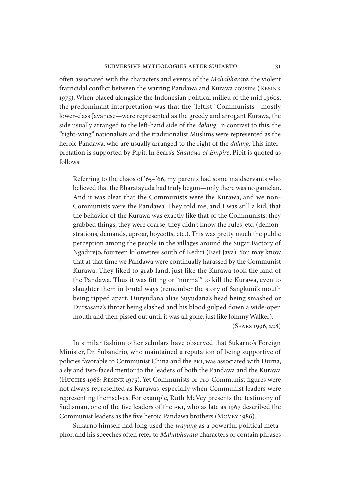often associated with the characters and events of the *Mahabharata*, the violent fratricidal conflict between the warring Pandawa and Kurawa cousins (Resink 1975). When placed alongside the Indonesian political milieu of the mid 1960s, the predominant interpretation was that the "leftist" Communists—mostly lower-class Javanese—were represented as the greedy and arrogant Kurawa, the side usually arranged to the left-hand side of the *dalang*. In contrast to this, the "right-wing" nationalists and the traditionalist Muslims were represented as the heroic Pandawa, who are usually arranged to the right of the *dalang*. This interpretation is supported by Pipit. In Sears's *Shadows of Empire*, Pipit is quoted as follows:

Referring to the chaos of '65–'66, my parents had some maidservants who believed that the Bharatayuda had truly begun—only there was no gamelan. And it was clear that the Communists were the Kurawa, and we non-Communists were the Pandawa. They told me, and I was still a kid, that the behavior of the Kurawa was exactly like that of the Communists: they grabbed things, they were coarse, they didn't know the rules, etc. (demonstrations, demands, uproar, boycotts, etc.). This was pretty much the public perception among the people in the villages around the Sugar Factory of Ngadirejo, fourteen kilometres south of Kediri (East Java). You may know that at that time we Pandawa were continually harassed by the Communist Kurawa. They liked to grab land, just like the Kurawa took the land of the Pandawa. Thus it was fitting or "normal" to kill the Kurawa, even to slaughter them in brutal ways (remember the story of Sangkuni's mouth being ripped apart, Duryudana alias Suyudana's head being smashed or Dursasana's throat being slashed and his blood gulped down a wide-open mouth and then pissed out until it was all gone, just like Johnny Walker).

(Sears 1996, 228)

In similar fashion other scholars have observed that Sukarno's Foreign Minister, Dr. Subandrio, who maintained a reputation of being supportive of policies favorable to Communist China and the pki, was associated with Durna, a sly and two-faced mentor to the leaders of both the Pandawa and the Kurawa (Hughes 1968; Resink 1975). Yet Communists or pro-Communist figures were not always represented as Kurawas, especially when Communist leaders were representing themselves. For example, Ruth McVey presents the testimony of Sudisman, one of the five leaders of the pki, who as late as 1967 described the Communist leaders as the five heroic Pandawa brothers (McVey 1986).

Sukarno himself had long used the *wayang* as a powerful political metaphor, and his speeches often refer to *Mahabharata* characters or contain phrases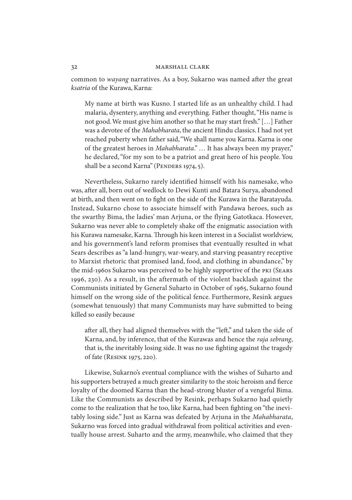common to *wayang* narratives. As a boy, Sukarno was named after the great *ksatria* of the Kurawa, Karna:

My name at birth was Kusno. I started life as an unhealthy child. I had malaria, dysentery, anything and everything. Father thought, "His name is not good. We must give him another so that he may start fresh." […] Father was a devotee of the *Mahabharata*, the ancient Hindu classics. I had not yet reached puberty when father said, "We shall name you Karna. Karna is one of the greatest heroes in *Mahabharata*." … It has always been my prayer," he declared, "for my son to be a patriot and great hero of his people. You shall be a second Karna" (PENDERS 1974, 5).

Nevertheless, Sukarno rarely identified himself with his namesake, who was, after all, born out of wedlock to Dewi Kunti and Batara Surya, abandoned at birth, and then went on to fight on the side of the Kurawa in the Baratayuda. Instead, Sukarno chose to associate himself with Pandawa heroes, such as the swarthy Bima, the ladies' man Arjuna, or the flying Gatotkaca. However, Sukarno was never able to completely shake off the enigmatic association with his Kurawa namesake, Karna. Through his keen interest in a Socialist worldview, and his government's land reform promises that eventually resulted in what Sears describes as "a land-hungry, war-weary, and starving peasantry receptive to Marxist rhetoric that promised land, food, and clothing in abundance," by the mid-1960s Sukarno was perceived to be highly supportive of the pki (Sears 1996, 230). As a result, in the aftermath of the violent backlash against the Communists initiated by General Suharto in October of 1965, Sukarno found himself on the wrong side of the political fence. Furthermore, Resink argues (somewhat tenuously) that many Communists may have submitted to being killed so easily because

after all, they had aligned themselves with the "left," and taken the side of Karna, and, by inference, that of the Kurawas and hence the *raja sebrang*, that is, the inevitably losing side. It was no use fighting against the tragedy of fate (Resink 1975, 220).

Likewise, Sukarno's eventual compliance with the wishes of Suharto and his supporters betrayed a much greater similarity to the stoic heroism and fierce loyalty of the doomed Karna than the head-strong bluster of a vengeful Bima. Like the Communists as described by Resink, perhaps Sukarno had quietly come to the realization that he too, like Karna, had been fighting on "the inevitably losing side." Just as Karna was defeated by Arjuna in the *Mahabharata*, Sukarno was forced into gradual withdrawal from political activities and eventually house arrest. Suharto and the army, meanwhile, who claimed that they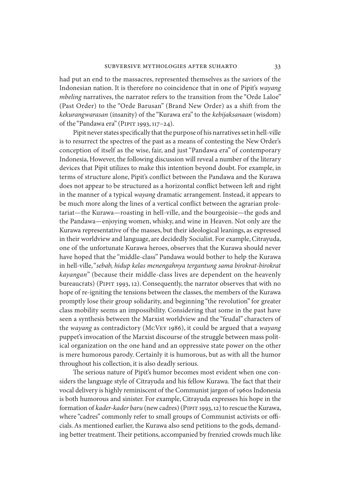had put an end to the massacres, represented themselves as the saviors of the Indonesian nation. It is therefore no coincidence that in one of Pipit's *wayang mbeling* narratives, the narrator refers to the transition from the "Orde Laloe" (Past Order) to the "Orde Barusan" (Brand New Order) as a shift from the *kekurangwarasan* (insanity) of the "Kurawa era" to the *kebijaksanaan* (wisdom) of the "Pandawa era" (PIPIT 1993, 117-24).

Pipit never states specifically that the purpose of his narratives set in hell-ville is to resurrect the spectres of the past as a means of contesting the New Order's conception of itself as the wise, fair, and just "Pandawa era" of contemporary Indonesia, However, the following discussion will reveal a number of the literary devices that Pipit utilizes to make this intention beyond doubt. For example, in terms of structure alone, Pipit's conflict between the Pandawa and the Kurawa does not appear to be structured as a horizontal conflict between left and right in the manner of a typical *wayang* dramatic arrangement. Instead, it appears to be much more along the lines of a vertical conflict between the agrarian proletariat—the Kurawa—roasting in hell-ville, and the bourgeoisie—the gods and the Pandawa—enjoying women, whisky, and wine in Heaven. Not only are the Kurawa representative of the masses, but their ideological leanings, as expressed in their worldview and language, are decidedly Socialist. For example, Citrayuda, one of the unfortunate Kurawa heroes, observes that the Kurawa should never have hoped that the "middle-class" Pandawa would bother to help the Kurawa in hell-ville, "*sebab, hidup kelas menengahnya tergantung sama birokrat-birokrat kayangan*" (because their middle-class lives are dependent on the heavenly bureaucrats) (PIPIT 1993, 12). Consequently, the narrator observes that with no hope of re-igniting the tensions between the classes, the members of the Kurawa promptly lose their group solidarity, and beginning "the revolution" for greater class mobility seems an impossibility. Considering that some in the past have seen a synthesis between the Marxist worldview and the "feudal" characters of the *wayang* as contradictory (McVey 1986), it could be argued that a *wayang* puppet's invocation of the Marxist discourse of the struggle between mass political organization on the one hand and an oppressive state power on the other is mere humorous parody. Certainly it is humorous, but as with all the humor throughout his collection, it is also deadly serious.

The serious nature of Pipit's humor becomes most evident when one considers the language style of Citrayuda and his fellow Kurawa. The fact that their vocal delivery is highly reminiscent of the Communist jargon of 1960s Indonesia is both humorous and sinister. For example, Citrayuda expresses his hope in the formation of *kader-kader baru* (new cadres) (Pipit 1993, 12) to rescue the Kurawa, where "cadres" commonly refer to small groups of Communist activists or officials. As mentioned earlier, the Kurawa also send petitions to the gods, demanding better treatment. Their petitions, accompanied by frenzied crowds much like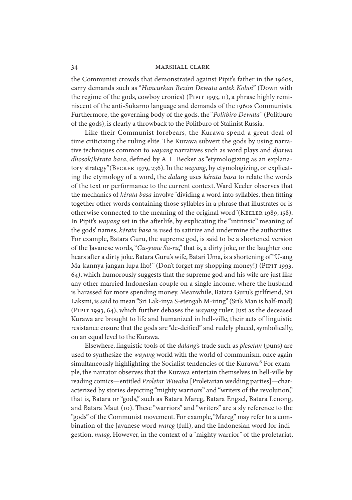the Communist crowds that demonstrated against Pipit's father in the 1960s, carry demands such as "*Hancurkan Rezim Dewata antek Koboi*" (Down with the regime of the gods, cowboy cronies) (PIPIT 1993, 11), a phrase highly reminiscent of the anti-Sukarno language and demands of the 1960s Communists. Furthermore, the governing body of the gods, the "*Politbiro Dewata*" (Politburo of the gods), is clearly a throwback to the Politburo of Stalinist Russia.

Like their Communist forebears, the Kurawa spend a great deal of time criticizing the ruling elite. The Kurawa subvert the gods by using narrative techniques common to *wayang* narratives such as word plays and *djarwa dhosok*/*kérata basa*, defined by A. L. Becker as "etymologizing as an explanatory strategy"(Becker 1979, 236). In the *wayang*, by etymologizing, or explicating the etymology of a word, the *dalang* uses *kérata basa* to relate the words of the text or performance to the current context. Ward Keeler observes that the mechanics of *kérata basa* involve "dividing a word into syllables, then fitting together other words containing those syllables in a phrase that illustrates or is otherwise connected to the meaning of the original word"(KEELER 1989, 158). In Pipit's *wayang* set in the afterlife, by explicating the "intrinsic" meaning of the gods' names, *kérata basa* is used to satirize and undermine the authorities. For example, Batara Guru, the supreme god, is said to be a shortened version of the Javanese words, "*Gu-yune Sa-ru*," that is, a dirty joke, or the laughter one hears after a dirty joke. Batara Guru's wife, Batari Uma, is a shortening of "U-ang Ma-kannya jangan lupa lho!" (Don't forget my shopping money!) (PIPIT 1993, 64), which humorously suggests that the supreme god and his wife are just like any other married Indonesian couple on a single income, where the husband is harassed for more spending money. Meanwhile, Batara Guru's girlfriend, Sri Laksmi, is said to mean "Sri Lak-inya S-etengah M-iring" (Sri's Man is half-mad) (Pipit 1993, 64), which further debases the *wayang* ruler. Just as the deceased Kurawa are brought to life and humanized in hell-ville, their acts of linguistic resistance ensure that the gods are "de-deified" and rudely placed, symbolically, on an equal level to the Kurawa.

Elsewhere, linguistic tools of the *dalang*'s trade such as *plesetan* (puns) are used to synthesize the *wayang* world with the world of communism, once again simultaneously highlighting the Socialist tendencies of the Kurawa.<sup>6</sup> For example, the narrator observes that the Kurawa entertain themselves in hell-ville by reading comics—entitled *Proletar Wiwaha* [Proletarian wedding parties]—characterized by stories depicting "mighty warriors" and "writers of the revolution," that is, Batara or "gods," such as Batara Mareg, Batara Engsel, Batara Lenong, and Batara Maut (10). These "warriors" and "writers" are a sly reference to the "gods" of the Communist movement. For example, "Mareg" may refer to a combination of the Javanese word *wareg* (full), and the Indonesian word for indigestion, *maag*. However, in the context of a "mighty warrior" of the proletariat,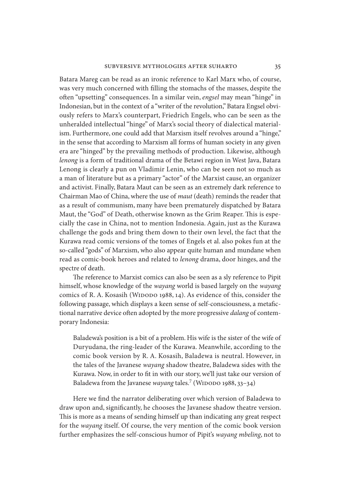Batara Mareg can be read as an ironic reference to Karl Marx who, of course, was very much concerned with filling the stomachs of the masses, despite the often "upsetting" consequences. In a similar vein, *engsel* may mean "hinge" in Indonesian, but in the context of a "writer of the revolution," Batara Engsel obviously refers to Marx's counterpart, Friedrich Engels, who can be seen as the unheralded intellectual "hinge" of Marx's social theory of dialectical materialism. Furthermore, one could add that Marxism itself revolves around a "hinge," in the sense that according to Marxism all forms of human society in any given era are "hinged" by the prevailing methods of production. Likewise, although *lenong* is a form of traditional drama of the Betawi region in West Java, Batara Lenong is clearly a pun on Vladimir Lenin, who can be seen not so much as a man of literature but as a primary "actor" of the Marxist cause, an organizer and activist. Finally, Batara Maut can be seen as an extremely dark reference to Chairman Mao of China, where the use of *maut* (death) reminds the reader that as a result of communism, many have been prematurely dispatched by Batara Maut, the "God" of Death, otherwise known as the Grim Reaper. This is especially the case in China, not to mention Indonesia. Again, just as the Kurawa challenge the gods and bring them down to their own level, the fact that the Kurawa read comic versions of the tomes of Engels et al. also pokes fun at the so-called "gods" of Marxism, who also appear quite human and mundane when read as comic-book heroes and related to *lenong* drama, door hinges, and the spectre of death.

The reference to Marxist comics can also be seen as a sly reference to Pipit himself, whose knowledge of the *wayang* world is based largely on the *wayang* comics of R. A. Kosasih (WIDODO 1988, 14). As evidence of this, consider the following passage, which displays a keen sense of self-consciousness, a metafictional narrative device often adopted by the more progressive *dalang* of contemporary Indonesia:

Baladewa's position is a bit of a problem. His wife is the sister of the wife of Duryudana, the ring-leader of the Kurawa. Meanwhile, according to the comic book version by R. A. Kosasih, Baladewa is neutral. However, in the tales of the Javanese *wayang* shadow theatre, Baladewa sides with the Kurawa. Now, in order to fit in with our story, we'll just take our version of Baladewa from the Javanese *wayang* tales.<sup>7</sup> (WIDODO 1988, 33-34)

Here we find the narrator deliberating over which version of Baladewa to draw upon and, significantly, he chooses the Javanese shadow theatre version. This is more as a means of sending himself up than indicating any great respect for the *wayang* itself. Of course, the very mention of the comic book version further emphasizes the self-conscious humor of Pipit's *wayang mbeling*, not to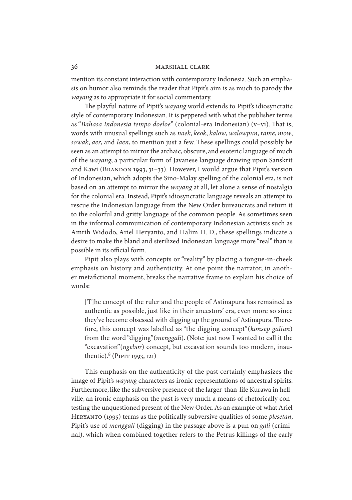mention its constant interaction with contemporary Indonesia. Such an emphasis on humor also reminds the reader that Pipit's aim is as much to parody the *wayang* as to appropriate it for social commentary.

The playful nature of Pipit's *wayang* world extends to Pipit's idiosyncratic style of contemporary Indonesian. It is peppered with what the publisher terms as "*Bahasa Indonesia tempo doeloe*" (colonial-era Indonesian) (v–vi). That is, words with unusual spellings such as *naek*, *keok*, *kalow*, *walowpun*, *rame*, *mow*, *sowak*, *aer*, and *laen*, to mention just a few. These spellings could possibly be seen as an attempt to mirror the archaic, obscure, and esoteric language of much of the *wayang*, a particular form of Javanese language drawing upon Sanskrit and Kawi (BRANDON 1993, 31-33). However, I would argue that Pipit's version of Indonesian, which adopts the Sino-Malay spelling of the colonial era, is not based on an attempt to mirror the *wayang* at all, let alone a sense of nostalgia for the colonial era. Instead, Pipit's idiosyncratic language reveals an attempt to rescue the Indonesian language from the New Order bureaucrats and return it to the colorful and gritty language of the common people. As sometimes seen in the informal communication of contemporary Indonesian activists such as Amrih Widodo, Ariel Heryanto, and Halim H. D., these spellings indicate a desire to make the bland and sterilized Indonesian language more "real" than is possible in its official form.

Pipit also plays with concepts or "reality" by placing a tongue-in-cheek emphasis on history and authenticity. At one point the narrator, in another metafictional moment, breaks the narrative frame to explain his choice of words:

[T]he concept of the ruler and the people of Astinapura has remained as authentic as possible, just like in their ancestors' era, even more so since they've become obsessed with digging up the ground of Astinapura. Therefore, this concept was labelled as "the digging concept"(*konsep galian*) from the word "digging"(*menggali*). (Note: just now I wanted to call it the "excavation"(*ngebor*) concept, but excavation sounds too modern, inauthentic).<sup>8</sup> (PIPIT 1993, 121)

This emphasis on the authenticity of the past certainly emphasizes the image of Pipit's *wayang* characters as ironic representations of ancestral spirits. Furthermore, like the subversive presence of the larger-than-life Kurawa in hellville, an ironic emphasis on the past is very much a means of rhetorically contesting the unquestioned present of the New Order. As an example of what Ariel Heryanto (1995) terms as the politically subversive qualities of some *plesetan*, Pipit's use of *menggali* (digging) in the passage above is a pun on *gali* (criminal), which when combined together refers to the Petrus killings of the early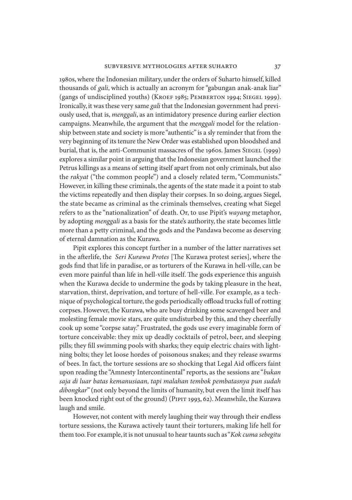1980s, where the Indonesian military, under the orders of Suharto himself, killed thousands of *gali*, which is actually an acronym for "gabungan anak-anak liar" (gangs of undisciplined youths) (KROEF 1985; PEMBERTON 1994; SIEGEL 1999). Ironically, it was these very same *gali* that the Indonesian government had previously used, that is, *menggali*, as an intimidatory presence during earlier election campaigns. Meanwhile, the argument that the *menggali* model for the relationship between state and society is more "authentic" is a sly reminder that from the very beginning of its tenure the New Order was established upon bloodshed and burial, that is, the anti-Communist massacres of the 1960s. James SIEGEL (1999) explores a similar point in arguing that the Indonesian government launched the Petrus killings as a means of setting itself apart from not only criminals, but also the *rakyat* ("the common people") and a closely related term, "Communists." However, in killing these criminals, the agents of the state made it a point to stab the victims repeatedly and then display their corpses. In so doing, argues Siegel, the state became as criminal as the criminals themselves, creating what Siegel refers to as the "nationalization" of death. Or, to use Pipit's *wayang* metaphor, by adopting *menggali* as a basis for the state's authority, the state becomes little more than a petty criminal, and the gods and the Pandawa become as deserving of eternal damnation as the Kurawa.

Pipit explores this concept further in a number of the latter narratives set in the afterlife, the *Seri Kurawa Protes* [The Kurawa protest series], where the gods find that life in paradise, or as torturers of the Kurawa in hell-ville, can be even more painful than life in hell-ville itself. The gods experience this anguish when the Kurawa decide to undermine the gods by taking pleasure in the heat, starvation, thirst, deprivation, and torture of hell-ville. For example, as a technique of psychological torture, the gods periodically offload trucks full of rotting corpses. However, the Kurawa, who are busy drinking some scavenged beer and molesting female movie stars, are quite undisturbed by this, and they cheerfully cook up some "corpse satay." Frustrated, the gods use every imaginable form of torture conceivable: they mix up deadly cocktails of petrol, beer, and sleeping pills; they fill swimming pools with sharks; they equip electric chairs with lightning bolts; they let loose hordes of poisonous snakes; and they release swarms of bees. In fact, the torture sessions are so shocking that Legal Aid officers faint upon reading the "Amnesty Intercontinental" reports, as the sessions are "*bukan saja di luar batas kemanusiaan, tapi malahan tembok pembatasnya pun sudah dibongkar*" (not only beyond the limits of humanity, but even the limit itself has been knocked right out of the ground) (PIPIT 1993, 62). Meanwhile, the Kurawa laugh and smile.

However, not content with merely laughing their way through their endless torture sessions, the Kurawa actively taunt their torturers, making life hell for them too. For example, it is not unusual to hear taunts such as "*Kok cuma sebegitu*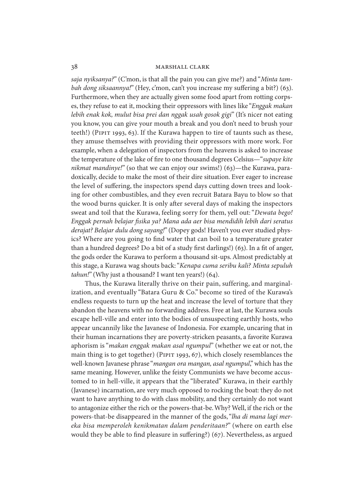*saja nyiksanya?*" (C'mon, is that all the pain you can give me?) and "*Minta tambah dong siksaannya!*" (Hey, c'mon, can't you increase my suffering a bit?) (63). Furthermore, when they are actually given some food apart from rotting corpses, they refuse to eat it, mocking their oppressors with lines like "*Enggak makan lebih enak kok, mulut bisa prei dan nggak usah gosok gigi*" (It's nicer not eating you know, you can give your mouth a break and you don't need to brush your teeth!) (Pipit 1993, 63). If the Kurawa happen to tire of taunts such as these, they amuse themselves with providing their oppressors with more work. For example, when a delegation of inspectors from the heavens is asked to increase the temperature of the lake of fire to one thousand degrees Celsius—"*supaye kite nikmat mandinye!*" (so that we can enjoy our swims!) (63)—the Kurawa, paradoxically, decide to make the most of their dire situation. Ever eager to increase the level of suffering, the inspectors spend days cutting down trees and looking for other combustibles, and they even recruit Batara Bayu to blow so that the wood burns quicker. It is only after several days of making the inspectors sweat and toil that the Kurawa, feeling sorry for them, yell out: "*Dewata bego! Enggak pernah belajar fisika ya? Mana ada aer bisa mendidih lebih dari seratus derajat? Belajar dulu dong sayang!*" (Dopey gods! Haven't you ever studied physics? Where are you going to find water that can boil to a temperature greater than a hundred degrees? Do a bit of a study first darlings!) (63). In a fit of anger, the gods order the Kurawa to perform a thousand sit-ups. Almost predictably at this stage, a Kurawa wag shouts back: "*Kenapa cuma seribu kali? Minta sepuluh tahun!*" (Why just a thousand? I want ten years!) (64).

Thus, the Kurawa literally thrive on their pain, suffering, and marginalization, and eventually "Batara Guru & Co." become so tired of the Kurawa's endless requests to turn up the heat and increase the level of torture that they abandon the heavens with no forwarding address. Free at last, the Kurawa souls escape hell-ville and enter into the bodies of unsuspecting earthly hosts, who appear uncannily like the Javanese of Indonesia. For example, uncaring that in their human incarnations they are poverty-stricken peasants, a favorite Kurawa aphorism is "*makan enggak makan asal ngumpul*" (whether we eat or not, the main thing is to get together) (PIPIT 1993, 67), which closely resemblances the well-known Javanese phrase "*mangan ora mangan, asal ngumpul*," which has the same meaning. However, unlike the feisty Communists we have become accustomed to in hell-ville, it appears that the "liberated" Kurawa, in their earthly (Javanese) incarnation, are very much opposed to rocking the boat: they do not want to have anything to do with class mobility, and they certainly do not want to antagonize either the rich or the powers-that-be. Why? Well, if the rich or the powers-that-be disappeared in the manner of the gods, "*lha di mana lagi mereka bisa memperoleh kenikmatan dalam penderitaan?*" (where on earth else would they be able to find pleasure in suffering?) (67). Nevertheless, as argued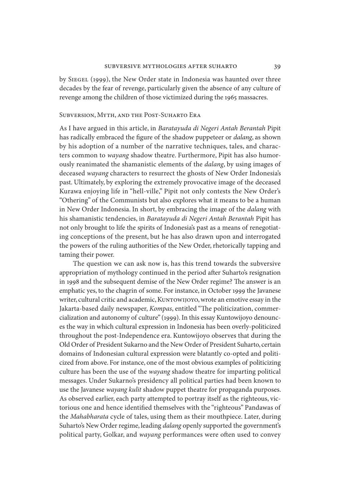by Siegel (1999), the New Order state in Indonesia was haunted over three decades by the fear of revenge, particularly given the absence of any culture of revenge among the children of those victimized during the 1965 massacres.

# Subversion, Myth, and the Post-Suharto Era

As I have argued in this article, in *Baratayuda di Negeri Antah Berantah* Pipit has radically embraced the figure of the shadow puppeteer or *dalang*, as shown by his adoption of a number of the narrative techniques, tales, and characters common to *wayang* shadow theatre. Furthermore, Pipit has also humorously reanimated the shamanistic elements of the *dalang*, by using images of deceased *wayang* characters to resurrect the ghosts of New Order Indonesia's past. Ultimately, by exploring the extremely provocative image of the deceased Kurawa enjoying life in "hell-ville," Pipit not only contests the New Order's "Othering" of the Communists but also explores what it means to be a human in New Order Indonesia. In short, by embracing the image of the *dalang* with his shamanistic tendencies, in *Baratayuda di Negeri Antah Berantah* Pipit has not only brought to life the spirits of Indonesia's past as a means of renegotiating conceptions of the present, but he has also drawn upon and interrogated the powers of the ruling authorities of the New Order, rhetorically tapping and taming their power.

The question we can ask now is, has this trend towards the subversive appropriation of mythology continued in the period after Suharto's resignation in 1998 and the subsequent demise of the New Order regime? The answer is an emphatic yes, to the chagrin of some. For instance, in October 1999 the Javanese writer, cultural critic and academic, KUNTOWIJOYO, wrote an emotive essay in the Jakarta-based daily newspaper, *Kompas*, entitled "The politicization, commercialization and autonomy of culture" (1999). In this essay Kuntowijoyo denounces the way in which cultural expression in Indonesia has been overly-politicized throughout the post-Independence era. Kuntowijoyo observes that during the Old Order of President Sukarno and the New Order of President Suharto, certain domains of Indonesian cultural expression were blatantly co-opted and politicized from above. For instance, one of the most obvious examples of politicizing culture has been the use of the *wayang* shadow theatre for imparting political messages. Under Sukarno's presidency all political parties had been known to use the Javanese *wayang kulit* shadow puppet theatre for propaganda purposes. As observed earlier, each party attempted to portray itself as the righteous, victorious one and hence identified themselves with the "righteous" Pandawas of the *Mahabharata* cycle of tales, using them as their mouthpiece. Later, during Suharto's New Order regime, leading *dalang* openly supported the government's political party, Golkar, and *wayang* performances were often used to convey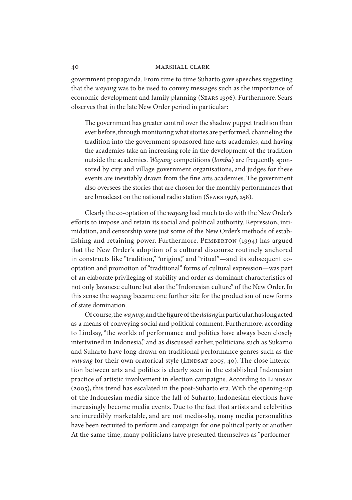# 40 marshall clark

government propaganda. From time to time Suharto gave speeches suggesting that the *wayang* was to be used to convey messages such as the importance of economic development and family planning (Sears 1996). Furthermore, Sears observes that in the late New Order period in particular:

The government has greater control over the shadow puppet tradition than ever before, through monitoring what stories are performed, channeling the tradition into the government sponsored fine arts academies, and having the academies take an increasing role in the development of the tradition outside the academies. *Wayang* competitions (*lomba*) are frequently sponsored by city and village government organisations, and judges for these events are inevitably drawn from the fine arts academies. The government also oversees the stories that are chosen for the monthly performances that are broadcast on the national radio station (Sears 1996, 258).

Clearly the co-optation of the *wayang* had much to do with the New Order's efforts to impose and retain its social and political authority. Repression, intimidation, and censorship were just some of the New Order's methods of establishing and retaining power. Furthermore, PEMBERTON (1994) has argued that the New Order's adoption of a cultural discourse routinely anchored in constructs like "tradition," "origins," and "ritual"—and its subsequent cooptation and promotion of "traditional" forms of cultural expression—was part of an elaborate privileging of stability and order as dominant characteristics of not only Javanese culture but also the "Indonesian culture" of the New Order. In this sense the *wayang* became one further site for the production of new forms of state domination.

Of course, the *wayang*, and the figure of the *dalang* in particular, has long acted as a means of conveying social and political comment. Furthermore, according to Lindsay, "the worlds of performance and politics have always been closely intertwined in Indonesia," and as discussed earlier, politicians such as Sukarno and Suharto have long drawn on traditional performance genres such as the wayang for their own oratorical style (LINDSAY 2005, 40). The close interaction between arts and politics is clearly seen in the established Indonesian practice of artistic involvement in election campaigns. According to LINDSAY (2005), this trend has escalated in the post-Suharto era. With the opening-up of the Indonesian media since the fall of Suharto, Indonesian elections have increasingly become media events. Due to the fact that artists and celebrities are incredibly marketable, and are not media-shy, many media personalities have been recruited to perform and campaign for one political party or another. At the same time, many politicians have presented themselves as "performer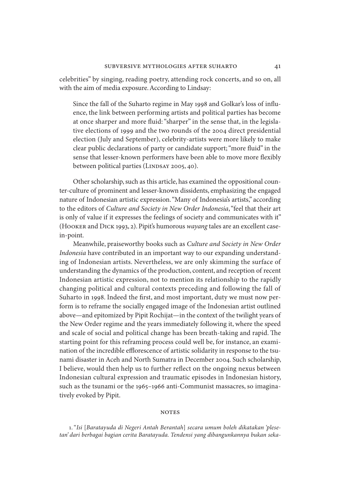celebrities" by singing, reading poetry, attending rock concerts, and so on, all with the aim of media exposure. According to Lindsay:

Since the fall of the Suharto regime in May 1998 and Golkar's loss of influence, the link between performing artists and political parties has become at once sharper and more fluid: "sharper" in the sense that, in the legislative elections of 1999 and the two rounds of the 2004 direct presidential election (July and September), celebrity-artists were more likely to make clear public declarations of party or candidate support; "more fluid" in the sense that lesser-known performers have been able to move more flexibly between political parties (LINDSAY 2005, 40).

Other scholarship, such as this article, has examined the oppositional counter-culture of prominent and lesser-known dissidents, emphasizing the engaged nature of Indonesian artistic expression. "Many of Indonesia's artists," according to the editors of *Culture and Society in New Order Indonesia*, "feel that their art is only of value if it expresses the feelings of society and communicates with it" (Hooker and Dick 1993, 2). Pipit's humorous *wayang* tales are an excellent casein-point.

Meanwhile, praiseworthy books such as *Culture and Society in New Order Indonesia* have contributed in an important way to our expanding understanding of Indonesian artists. Nevertheless, we are only skimming the surface of understanding the dynamics of the production, content, and reception of recent Indonesian artistic expression, not to mention its relationship to the rapidly changing political and cultural contexts preceding and following the fall of Suharto in 1998. Indeed the first, and most important, duty we must now perform is to reframe the socially engaged image of the Indonesian artist outlined above—and epitomized by Pipit Rochijat—in the context of the twilight years of the New Order regime and the years immediately following it, where the speed and scale of social and political change has been breath-taking and rapid. The starting point for this reframing process could well be, for instance, an examination of the incredible efflorescence of artistic solidarity in response to the tsunami disaster in Aceh and North Sumatra in December 2004. Such scholarship, I believe, would then help us to further reflect on the ongoing nexus between Indonesian cultural expression and traumatic episodes in Indonesian history, such as the tsunami or the 1965–1966 anti-Communist massacres, so imaginatively evoked by Pipit.

# **NOTES**

1. "*Isi* [*Baratayuda di Negeri Antah Berantah*] *secara umum boleh dikatakan 'plesetan' dari berbagai bagian cerita Baratayuda. Tendensi yang dibangunkannya bukan seka-*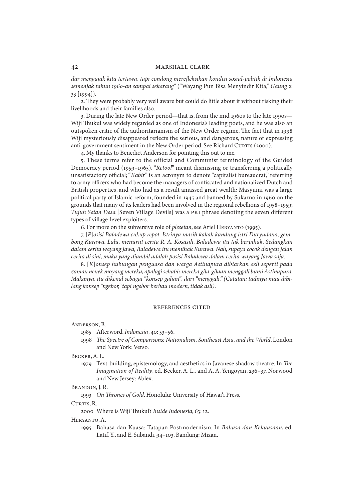*dar mengajak kita tertawa, tapi condong merefleksikan kondisi sosial-politik di Indonesia semenjak tahun 1960-an sampai sekarang*" ("Wayang Pun Bisa Menyindir Kita," *Gaung* 2: 33 [1994]).

2. They were probably very well aware but could do little about it without risking their livelihoods and their families also.

3. During the late New Order period—that is, from the mid 1960s to the late 1990s— Wiji Thukul was widely regarded as one of Indonesia's leading poets, and he was also an outspoken critic of the authoritarianism of the New Order regime. The fact that in 1998 Wiji mysteriously disappeared reflects the serious, and dangerous, nature of expressing anti-government sentiment in the New Order period. See Richard Curris (2000).

4. My thanks to Benedict Anderson for pointing this out to me.

5. These terms refer to the official and Communist terminology of the Guided Democracy period (1959–1965). "*Retool*" meant dismissing or transferring a politically unsatisfactory official; "*Kabir*" is an acronym to denote "capitalist bureaucrat," referring to army officers who had become the managers of confiscated and nationalized Dutch and British properties, and who had as a result amassed great wealth; Masyumi was a large political party of Islamic reform, founded in 1945 and banned by Sukarno in 1960 on the grounds that many of its leaders had been involved in the regional rebellions of 1958–1959; *Tujuh Setan Desa* [Seven Village Devils] was a pki phrase denoting the seven different types of village-level exploiters.

6. For more on the subversive role of *plesetan*, see Ariel Heryanto (1995).

7. [*P*]*osisi Baladewa cukup repot. Istrinya masih kakak kandung istri Duryudana, gembong Kurawa. Lalu, menurut cerita R. A. Kosasih, Baladewa itu tak berpihak. Sedangkan dalam cerita wayang Jawa, Baladewa itu memihak Kurawa. Nah, supaya cocok dengan jalan cerita di sini, maka yang diambil adalah posisi Baladewa dalam cerita wayang Jawa saja*.

8. [*K*]*onsep hubungan penguasa dan warga Astinapura dibiarkan asli seperti pada zaman nenek moyang mereka, apalagi sehabis mereka gila-gilaan menggali bumi Astinapura. Makanya, itu dikenal sebagai "konsep galian", dari "menggali." (Catatan: tadinya mau dibilang konsep "ngebor," tapi ngebor berbau modern, tidak asli)*.

#### references cited

Anderson, B.

1985 Afterword. *Indonesia*, 40: 53–56.

1998 *The Spectre of Comparisons: Nationalism, Southeast Asia, and the World*. London and New York: Verso.

Becker, A. L.

1979 Text-building, epistemology, and aesthetics in Javanese shadow theatre. In *The Imagination of Reality*, ed. Becker, A. L., and A. A. Yengoyan, 236–37. Norwood and New Jersey: Ablex.

Brandon, J. R.

1993 *On Thrones of Gold*. Honolulu: University of Hawai'i Press.

CURTIS, R.

2000 Where is Wiji Thukul? *Inside Indonesia*, 63: 12.

## Heryanto, A.

1995 Bahasa dan Kuasa: Tatapan Postmodernism. In *Bahasa dan Kekuasaan*, ed. Latif, Y., and E. Subandi, 94–103. Bandung: Mizan.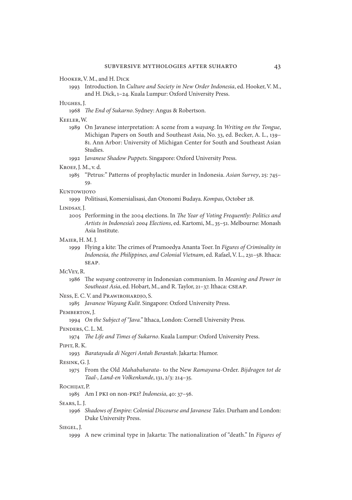Hooker, V. M., and H. Dick

1993 Introduction. In *Culture and Society in New Order Indonesia*, ed. Hooker, V. M., and H. Dick, 1–24. Kuala Lumpur: Oxford University Press.

#### Hughes, J.

1968 *The End of Sukarno*. Sydney: Angus & Robertson.

#### Keeler, W.

1989 On Javanese interpretation: A scene from a *wayang*. In *Writing on the Tongue*, Michigan Papers on South and Southeast Asia, No. 33, ed. Becker, A. L., 139– 81. Ann Arbor: University of Michigan Center for South and Southeast Asian Studies.

1992 J*avanese Shadow Puppets*. Singapore: Oxford University Press.

#### Kroef, J. M., v. d.

1985 "Petrus:" Patterns of prophylactic murder in Indonesia. *Asian Survey*, 25: 745– 59.

#### Kuntowijoyo

1999 Politisasi, Komersialisasi, dan Otonomi Budaya. *Kompas*, October 28.

#### Lindsay, J.

2005 Performing in the 2004 elections. In *The Year of Voting Frequently: Politics and Artists in Indonesia's 2004 Elections*, ed. Kartomi, M., 35–51. Melbourne: Monash Asia Institute.

#### Maier, H. M. J.

1999 Flying a kite: The crimes of Pramoedya Ananta Toer. In *Figures of Criminality in Indonesia, the Philippines, and Colonial Vietnam*, ed. Rafael, V. L., 231–58. Ithaca: seap.

#### McVey, R.

1986 The *wayang* controversy in Indonesian communism. In *Meaning and Power in Southeast Asia*, ed. Hobart, M., and R. Taylor, 21–37. Ithaca: cseap.

### Ness, E. C. V. and Prawirohardjo, S.

1985 *Javanese Wayang Kulit*. Singapore: Oxford University Press.

#### Pemberton, J.

1994 *On the Subject of "Java."* Ithaca, London: Cornell University Press.

# Penders, C. L. M.

1974 *The Life and Times of Sukarno*. Kuala Lumpur: Oxford University Press.

# Pipit, R. K.

1993 *Baratayuda di Negeri Antah Berantah*. Jakarta: Humor.

#### Resink, G. J.

1975 From the Old *Mahabaharata*- to the New *Ramayana*-Order. *Bijdragen tot de Taal-, Land-en Volkenkunde*, 131, 2/3: 214–35.

#### Rochijat, P.

1985 Am I pki on non-pki? *Indonesia*, 40: 37–56.

#### Sears, L. J.

1996 *Shadows of Empire: Colonial Discourse and Javanese Tales*. Durham and London: Duke University Press.

#### Siegel, J.

1999 A new criminal type in Jakarta: The nationalization of "death." In *Figures of*